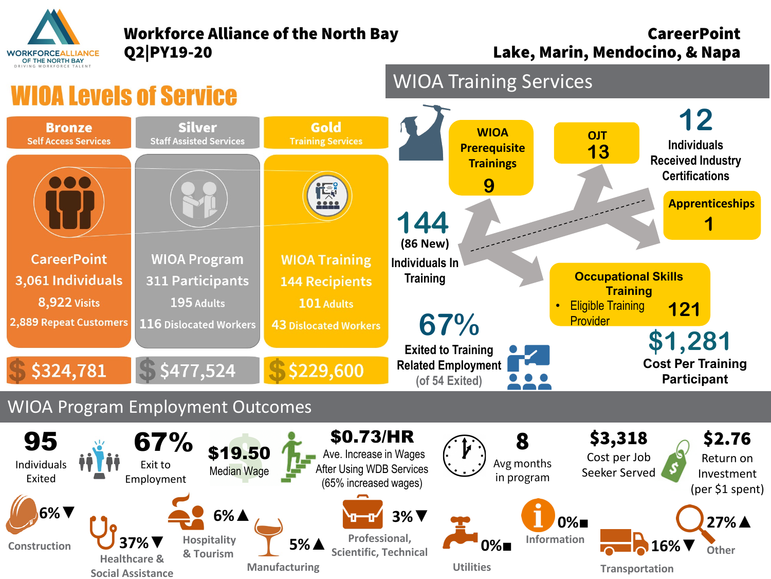

**Social Assistance**

## Workforce Alliance of the North Bay **CareerPoint**

**Manufacturing**

Q2|PY19-20 Lake, Marin, Mendocino, & Napa

**Transportation**



**Utilities**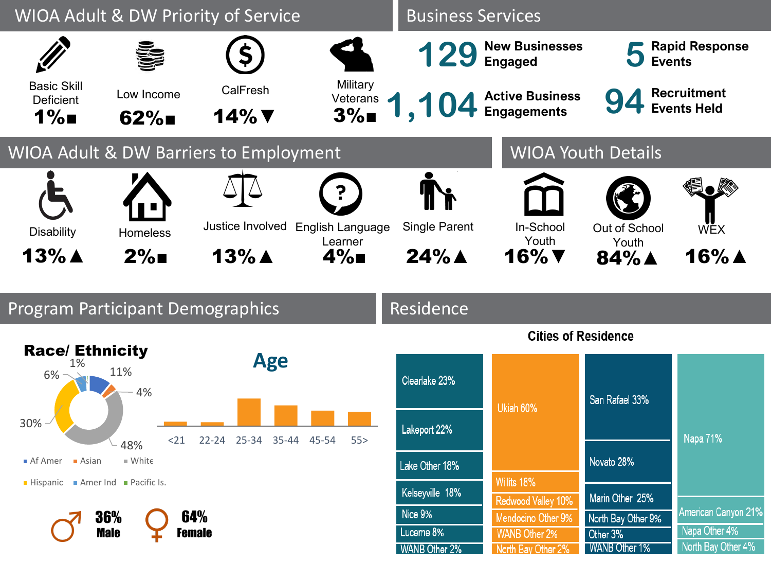